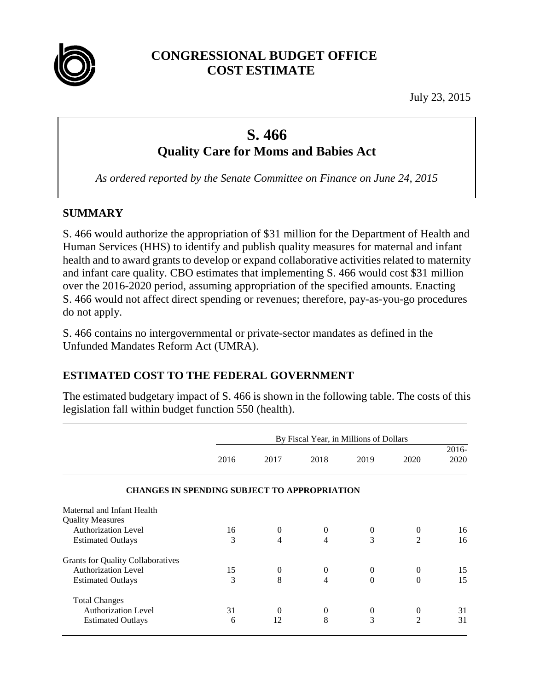

# **CONGRESSIONAL BUDGET OFFICE COST ESTIMATE**

July 23, 2015

# **S. 466 Quality Care for Moms and Babies Act**

*As ordered reported by the Senate Committee on Finance on June 24, 2015*

#### **SUMMARY**

S. 466 would authorize the appropriation of \$31 million for the Department of Health and Human Services (HHS) to identify and publish quality measures for maternal and infant health and to award grants to develop or expand collaborative activities related to maternity and infant care quality. CBO estimates that implementing S. 466 would cost \$31 million over the 2016-2020 period, assuming appropriation of the specified amounts. Enacting S. 466 would not affect direct spending or revenues; therefore, pay-as-you-go procedures do not apply.

S. 466 contains no intergovernmental or private-sector mandates as defined in the Unfunded Mandates Reform Act (UMRA).

# **ESTIMATED COST TO THE FEDERAL GOVERNMENT**

The estimated budgetary impact of S. 466 is shown in the following table. The costs of this legislation fall within budget function 550 (health).

|                                                     | By Fiscal Year, in Millions of Dollars |              |                  |          |                |          |
|-----------------------------------------------------|----------------------------------------|--------------|------------------|----------|----------------|----------|
|                                                     |                                        |              |                  |          |                | $2016 -$ |
|                                                     | 2016                                   | 2017         | 2018             | 2019     | 2020           | 2020     |
| <b>CHANGES IN SPENDING SUBJECT TO APPROPRIATION</b> |                                        |              |                  |          |                |          |
| Maternal and Infant Health                          |                                        |              |                  |          |                |          |
| <b>Quality Measures</b>                             |                                        |              |                  |          |                |          |
| <b>Authorization Level</b>                          | 16                                     | $\mathbf{0}$ | $\boldsymbol{0}$ | $\theta$ | $\theta$       | 16       |
| <b>Estimated Outlays</b>                            | 3                                      | 4            | 4                | 3        | $\overline{2}$ | 16       |
| <b>Grants for Quality Collaboratives</b>            |                                        |              |                  |          |                |          |
| Authorization Level                                 | 15                                     | $\mathbf{0}$ | $\theta$         | $\theta$ | $\mathbf{0}$   | 15       |
| <b>Estimated Outlays</b>                            | 3                                      | 8            | 4                | $\Omega$ | $\Omega$       | 15       |
| <b>Total Changes</b>                                |                                        |              |                  |          |                |          |
| Authorization Level                                 | 31                                     | $\Omega$     | $\theta$         | $\theta$ | $\theta$       | 31       |
| <b>Estimated Outlays</b>                            | 6                                      | 12           | 8                | 3        | $\mathfrak{D}$ | 31       |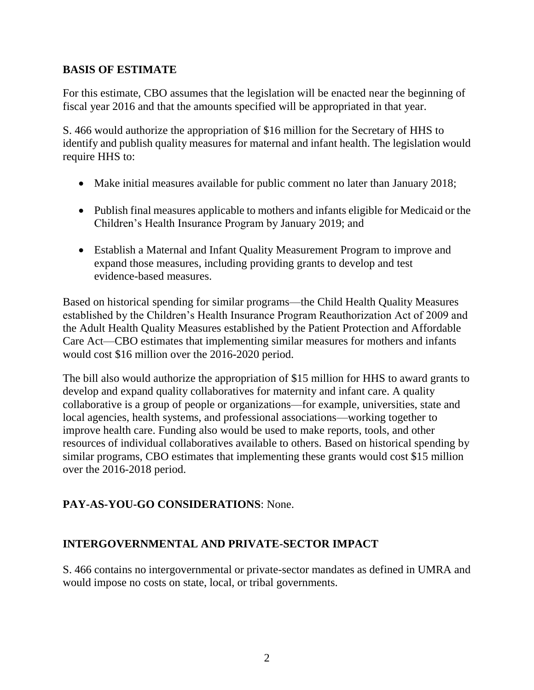#### **BASIS OF ESTIMATE**

For this estimate, CBO assumes that the legislation will be enacted near the beginning of fiscal year 2016 and that the amounts specified will be appropriated in that year.

S. 466 would authorize the appropriation of \$16 million for the Secretary of HHS to identify and publish quality measures for maternal and infant health. The legislation would require HHS to:

- Make initial measures available for public comment no later than January 2018;
- Publish final measures applicable to mothers and infants eligible for Medicaid or the Children's Health Insurance Program by January 2019; and
- Establish a Maternal and Infant Quality Measurement Program to improve and expand those measures, including providing grants to develop and test evidence-based measures.

Based on historical spending for similar programs—the Child Health Quality Measures established by the Children's Health Insurance Program Reauthorization Act of 2009 and the Adult Health Quality Measures established by the Patient Protection and Affordable Care Act—CBO estimates that implementing similar measures for mothers and infants would cost \$16 million over the 2016-2020 period.

The bill also would authorize the appropriation of \$15 million for HHS to award grants to develop and expand quality collaboratives for maternity and infant care. A quality collaborative is a group of people or organizations—for example, universities, state and local agencies, health systems, and professional associations—working together to improve health care. Funding also would be used to make reports, tools, and other resources of individual collaboratives available to others. Based on historical spending by similar programs, CBO estimates that implementing these grants would cost \$15 million over the 2016-2018 period.

# **PAY-AS-YOU-GO CONSIDERATIONS**: None.

# **INTERGOVERNMENTAL AND PRIVATE-SECTOR IMPACT**

S. 466 contains no intergovernmental or private-sector mandates as defined in UMRA and would impose no costs on state, local, or tribal governments.